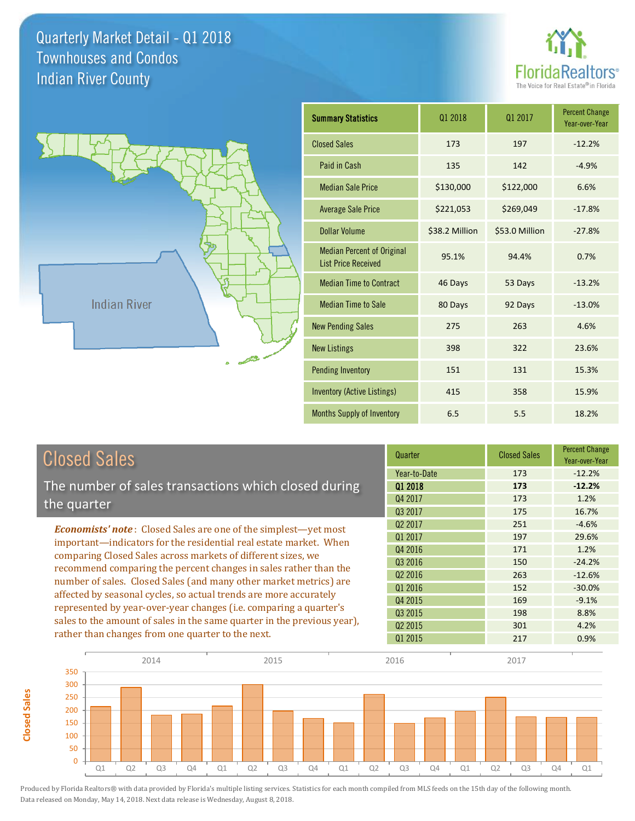**Closed Sales**

**Closed Sales** 





| <b>Summary Statistics</b>                                       | 01 2018        | 01 2017        | <b>Percent Change</b><br>Year-over-Year |
|-----------------------------------------------------------------|----------------|----------------|-----------------------------------------|
| <b>Closed Sales</b>                                             | 173            | 197            | $-12.2%$                                |
| Paid in Cash                                                    | 135            | 142            | $-4.9%$                                 |
| <b>Median Sale Price</b>                                        | \$130,000      | \$122,000      | 6.6%                                    |
| <b>Average Sale Price</b>                                       | \$221,053      | \$269,049      | $-17.8%$                                |
| <b>Dollar Volume</b>                                            | \$38.2 Million | \$53.0 Million | $-27.8%$                                |
| <b>Median Percent of Original</b><br><b>List Price Received</b> | 95.1%          | 94.4%          | 0.7%                                    |
| <b>Median Time to Contract</b>                                  | 46 Days        | 53 Days        | $-13.2%$                                |
| <b>Median Time to Sale</b>                                      | 80 Days        | 92 Days        | $-13.0%$                                |
| <b>New Pending Sales</b>                                        | 275            | 263            | 4.6%                                    |
| <b>New Listings</b>                                             | 398            | 322            | 23.6%                                   |
| Pending Inventory                                               | 151            | 131            | 15.3%                                   |
| <b>Inventory (Active Listings)</b>                              | 415            | 358            | 15.9%                                   |
| <b>Months Supply of Inventory</b>                               | 6.5            | 5.5            | 18.2%                                   |

| <b>Closed Sales</b>                                                     | Quarter             | <b>Closed Sales</b> | <b>Percent Change</b><br>Year-over-Year |
|-------------------------------------------------------------------------|---------------------|---------------------|-----------------------------------------|
|                                                                         | Year-to-Date        | 173                 | $-12.2%$                                |
| The number of sales transactions which closed during                    | 01 2018             | 173                 | $-12.2%$                                |
| the quarter                                                             | Q4 2017             | 173                 | 1.2%                                    |
|                                                                         | Q3 2017             | 175                 | 16.7%                                   |
| <b>Economists' note:</b> Closed Sales are one of the simplest—yet most  | Q <sub>2</sub> 2017 | 251                 | $-4.6%$                                 |
| important-indicators for the residential real estate market. When       | 01 2017             | 197                 | 29.6%                                   |
| comparing Closed Sales across markets of different sizes, we            | Q4 2016             | 171                 | 1.2%                                    |
| recommend comparing the percent changes in sales rather than the        | 03 2016             | 150                 | $-24.2%$                                |
| number of sales. Closed Sales (and many other market metrics) are       | Q <sub>2</sub> 2016 | 263                 | $-12.6%$                                |
|                                                                         | Q1 2016             | 152                 | $-30.0%$                                |
| affected by seasonal cycles, so actual trends are more accurately       | Q4 2015             | 169                 | $-9.1%$                                 |
| represented by year-over-year changes (i.e. comparing a quarter's       | Q3 2015             | 198                 | 8.8%                                    |
| sales to the amount of sales in the same quarter in the previous year), | Q <sub>2</sub> 2015 | 301                 | 4.2%                                    |
| rather than changes from one quarter to the next.                       | Q1 2015             | 217                 | 0.9%                                    |

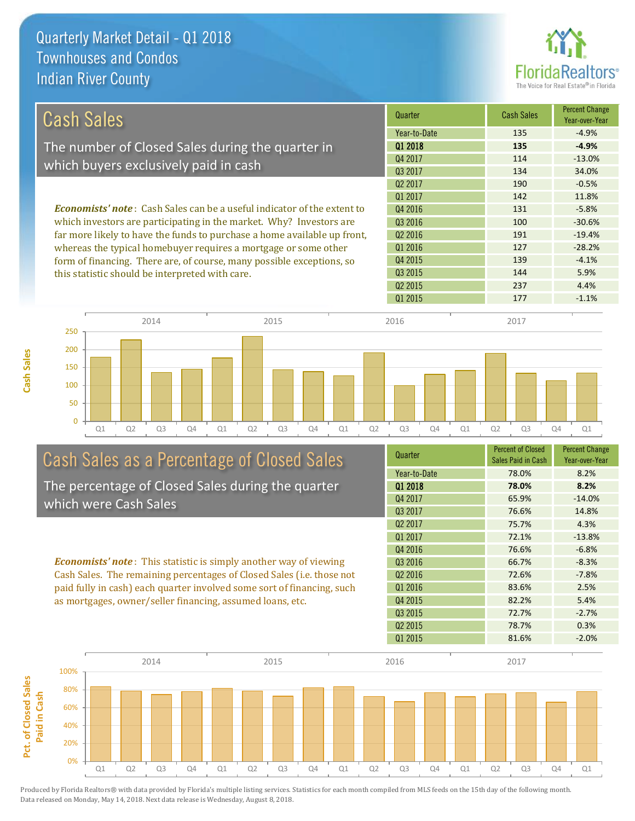

| Cash Sales                                                                      | Quarter             | <b>Cash Sales</b> | <b>Percent Change</b><br>Year-over-Year |
|---------------------------------------------------------------------------------|---------------------|-------------------|-----------------------------------------|
|                                                                                 | Year-to-Date        | 135               | $-4.9%$                                 |
| The number of Closed Sales during the quarter in                                | 01 2018             | 135               | $-4.9%$                                 |
|                                                                                 | Q4 2017             | 114               | $-13.0%$                                |
| which buyers exclusively paid in cash                                           | 03 2017             | 134               | 34.0%                                   |
|                                                                                 | Q <sub>2</sub> 2017 | 190               | $-0.5%$                                 |
|                                                                                 | 01 2017             | 142               | 11.8%                                   |
| <b>Economists' note</b> : Cash Sales can be a useful indicator of the extent to | Q4 2016             | 131               | $-5.8%$                                 |
| which investors are participating in the market. Why? Investors are             | Q3 2016             | 100               | $-30.6%$                                |
| far more likely to have the funds to purchase a home available up front,        | Q <sub>2</sub> 2016 | 191               | $-19.4%$                                |
| whereas the typical homebuyer requires a mortgage or some other                 | Q1 2016             | 127               | $-28.2%$                                |
| form of financing. There are, of course, many possible exceptions, so           | Q4 2015             | 139               | $-4.1%$                                 |
| this statistic should be interpreted with care.                                 | 03 2015             | 144               | 5.9%                                    |





# Cash Sales as a Percentage of Closed Sales

The percentage of Closed Sales during the quarter which were Cash Sales

*Economists' note* : This statistic is simply another way of viewing Cash Sales. The remaining percentages of Closed Sales (i.e. those not paid fully in cash) each quarter involved some sort of financing, such as mortgages, owner/seller financing, assumed loans, etc.

| <b>Percent of Closed</b> | <b>Percent Change</b><br>Year-over-Year |
|--------------------------|-----------------------------------------|
| 78.0%                    | 8.2%                                    |
| 78.0%                    | 8.2%                                    |
| 65.9%                    | $-14.0%$                                |
| 76.6%                    | 14.8%                                   |
| 75.7%                    | 4.3%                                    |
| 72.1%                    | $-13.8%$                                |
| 76.6%                    | $-6.8%$                                 |
| 66.7%                    | $-8.3%$                                 |
| 72.6%                    | $-7.8%$                                 |
| 83.6%                    | 2.5%                                    |
| 82.2%                    | 5.4%                                    |
| 72.7%                    | $-2.7%$                                 |
| 78.7%                    | 0.3%                                    |
| 81.6%                    | $-2.0%$                                 |
|                          | Sales Paid in Cash                      |

Q2 2015 237 4.4%

Q1 2015 177 -1.1%

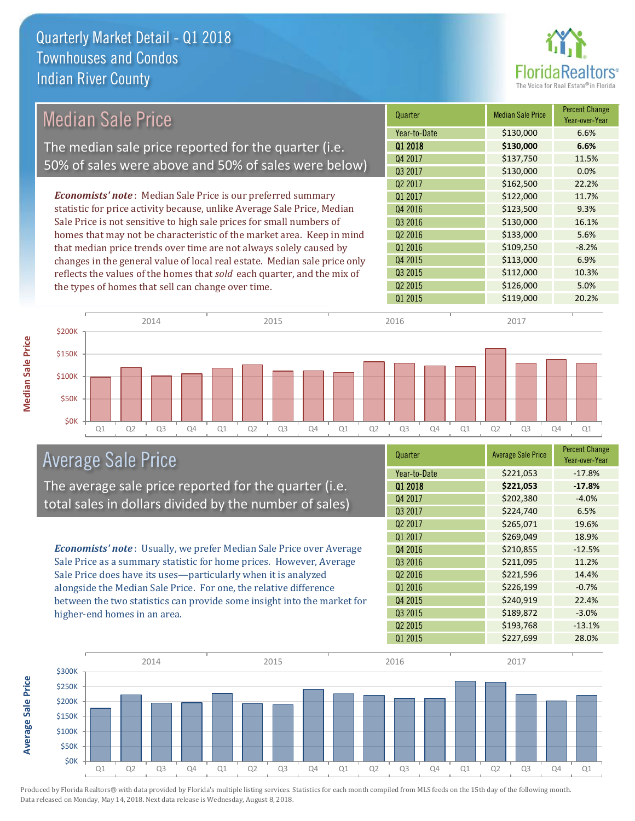

| <b>Median Sale Price</b>                             |                                                    | Quarter                                                                   | <b>Median Sale Price</b> | <b>Percent Change</b><br>Year-over-Year |         |
|------------------------------------------------------|----------------------------------------------------|---------------------------------------------------------------------------|--------------------------|-----------------------------------------|---------|
|                                                      |                                                    | Year-to-Date                                                              | \$130,000                | 6.6%                                    |         |
| The median sale price reported for the quarter (i.e. |                                                    |                                                                           | 01 2018                  | \$130,000                               | 6.6%    |
|                                                      |                                                    | 50% of sales were above and 50% of sales were below)                      | Q4 2017                  | \$137,750                               | 11.5%   |
|                                                      |                                                    |                                                                           | Q3 2017                  | \$130,000                               | 0.0%    |
|                                                      |                                                    |                                                                           | Q <sub>2</sub> 2017      | \$162,500                               | 22.2%   |
|                                                      |                                                    | <b>Economists' note:</b> Median Sale Price is our preferred summary       | Q1 2017                  | \$122,000                               | 11.7%   |
|                                                      |                                                    | statistic for price activity because, unlike Average Sale Price, Median   | Q4 2016                  | \$123,500                               | 9.3%    |
|                                                      |                                                    | Sale Price is not sensitive to high sale prices for small numbers of      | Q <sub>3</sub> 2016      | \$130,000                               | 16.1%   |
|                                                      |                                                    | homes that may not be characteristic of the market area. Keep in mind     | Q2 2016                  | \$133,000                               | 5.6%    |
|                                                      |                                                    | that median price trends over time are not always solely caused by        | Q1 2016                  | \$109,250                               | $-8.2%$ |
|                                                      |                                                    | changes in the general value of local real estate. Median sale price only | Q4 2015                  | \$113,000                               | 6.9%    |
|                                                      |                                                    | reflects the values of the homes that sold each quarter, and the mix of   | Q <sub>3</sub> 2015      | \$112,000                               | 10.3%   |
|                                                      | the types of homes that sell can change over time. |                                                                           | Q <sub>2</sub> 2015      | \$126,000                               | 5.0%    |
|                                                      |                                                    |                                                                           | Q1 2015                  | \$119,000                               | 20.2%   |
|                                                      |                                                    |                                                                           |                          |                                         |         |
|                                                      | 2014                                               | 2015                                                                      | 2016                     | 2017                                    |         |
| \$200K                                               |                                                    |                                                                           |                          |                                         |         |
| \$150K                                               |                                                    |                                                                           |                          |                                         |         |
|                                                      |                                                    |                                                                           |                          |                                         |         |

Q1 Q2 Q3 Q4 Q1 Q2 Q3 Q4 Q1 Q2 Q3 Q4 Q1 Q2 Q3 Q4 Q1

Average Sale Price

The average sale price reported for the quarter (i.e. total sales in dollars divided by the number of sales)

*Economists' note* : Usually, we prefer Median Sale Price over Average Sale Price as a summary statistic for home prices. However, Average Sale Price does have its uses—particularly when it is analyzed alongside the Median Sale Price. For one, the relative difference between the two statistics can provide some insight into the market for higher-end homes in an area.

| Quarter             | <b>Average Sale Price</b> | <b>Percent Change</b><br>Year-over-Year |
|---------------------|---------------------------|-----------------------------------------|
| Year-to-Date        | \$221,053                 | $-17.8%$                                |
| 01 2018             | \$221,053                 | $-17.8%$                                |
| Q4 2017             | \$202,380                 | $-4.0%$                                 |
| Q3 2017             | \$224,740                 | 6.5%                                    |
| Q <sub>2</sub> 2017 | \$265,071                 | 19.6%                                   |
| Q1 2017             | \$269,049                 | 18.9%                                   |
| Q4 2016             | \$210,855                 | $-12.5%$                                |
| Q3 2016             | \$211,095                 | 11.2%                                   |
| Q <sub>2</sub> 2016 | \$221,596                 | 14.4%                                   |
| Q1 2016             | \$226,199                 | $-0.7%$                                 |
| Q4 2015             | \$240,919                 | 22.4%                                   |
| Q3 2015             | \$189,872                 | $-3.0%$                                 |
| Q <sub>2</sub> 2015 | \$193,768                 | $-13.1%$                                |
| Q1 2015             | \$227,699                 | 28.0%                                   |



Median Sale Price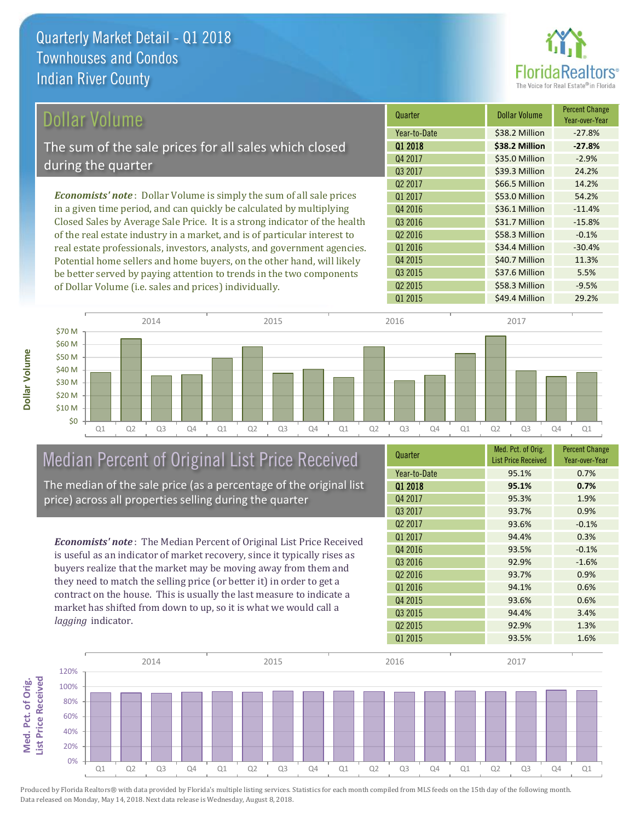

## Dollar Volume

The sum of the sale prices for all sales which closed during the quarter

*Economists' note* : Dollar Volume is simply the sum of all sale prices in a given time period, and can quickly be calculated by multiplying Closed Sales by Average Sale Price. It is a strong indicator of the health of the real estate industry in a market, and is of particular interest to real estate professionals, investors, analysts, and government agencies. Potential home sellers and home buyers, on the other hand, will likely be better served by paying attention to trends in the two components of Dollar Volume (i.e. sales and prices) individually.

| Quarter             | <b>Dollar Volume</b> | <b>Percent Change</b><br>Year-over-Year |
|---------------------|----------------------|-----------------------------------------|
| Year-to-Date        | \$38.2 Million       | $-27.8%$                                |
| Q1 2018             | \$38.2 Million       | $-27.8%$                                |
| Q4 2017             | \$35.0 Million       | $-2.9%$                                 |
| 03 2017             | \$39.3 Million       | 24.2%                                   |
| Q <sub>2</sub> 2017 | \$66.5 Million       | 14.2%                                   |
| Q1 2017             | \$53.0 Million       | 54.2%                                   |
| Q4 2016             | \$36.1 Million       | $-11.4%$                                |
| Q3 2016             | \$31.7 Million       | $-15.8%$                                |
| 02 2016             | \$58.3 Million       | $-0.1%$                                 |
| Q1 2016             | \$34.4 Million       | $-30.4%$                                |
| Q4 2015             | \$40.7 Million       | 11.3%                                   |
| Q3 2015             | \$37.6 Million       | 5.5%                                    |
| Q <sub>2</sub> 2015 | \$58.3 Million       | $-9.5%$                                 |
| Q1 2015             | \$49.4 Million       | 29.2%                                   |



## Median Percent of Original List Price Received

The median of the sale price (as a percentage of the original list price) across all properties selling during the quarter

*Economists' note* : The Median Percent of Original List Price Received is useful as an indicator of market recovery, since it typically rises as buyers realize that the market may be moving away from them and they need to match the selling price (or better it) in order to get a contract on the house. This is usually the last measure to indicate a market has shifted from down to up, so it is what we would call a *lagging* indicator.

| Quarter             | Med. Pct. of Orig.<br><b>List Price Received</b> | <b>Percent Change</b><br>Year-over-Year |
|---------------------|--------------------------------------------------|-----------------------------------------|
| Year-to-Date        | 95.1%                                            | 0.7%                                    |
| 01 2018             | 95.1%                                            | 0.7%                                    |
| Q4 2017             | 95.3%                                            | 1.9%                                    |
| Q3 2017             | 93.7%                                            | 0.9%                                    |
| Q <sub>2</sub> 2017 | 93.6%                                            | $-0.1%$                                 |
| Q1 2017             | 94.4%                                            | 0.3%                                    |
| Q4 2016             | 93.5%                                            | $-0.1%$                                 |
| Q3 2016             | 92.9%                                            | $-1.6%$                                 |
| Q <sub>2</sub> 2016 | 93.7%                                            | 0.9%                                    |
| Q1 2016             | 94.1%                                            | 0.6%                                    |
| Q4 2015             | 93.6%                                            | 0.6%                                    |
| Q <sub>3</sub> 2015 | 94.4%                                            | 3.4%                                    |
| Q <sub>2</sub> 2015 | 92.9%                                            | 1.3%                                    |
| Q1 2015             | 93.5%                                            | 1.6%                                    |



Produced by Florida Realtors® with data provided by Florida's multiple listing services. Statistics for each month compiled from MLS feeds on the 15th day of the following month. Data released on Monday, May 14, 2018. Next data release is Wednesday, August 8, 2018.

**Med. Pct. of Orig.** 

Med. Pct. of Orig.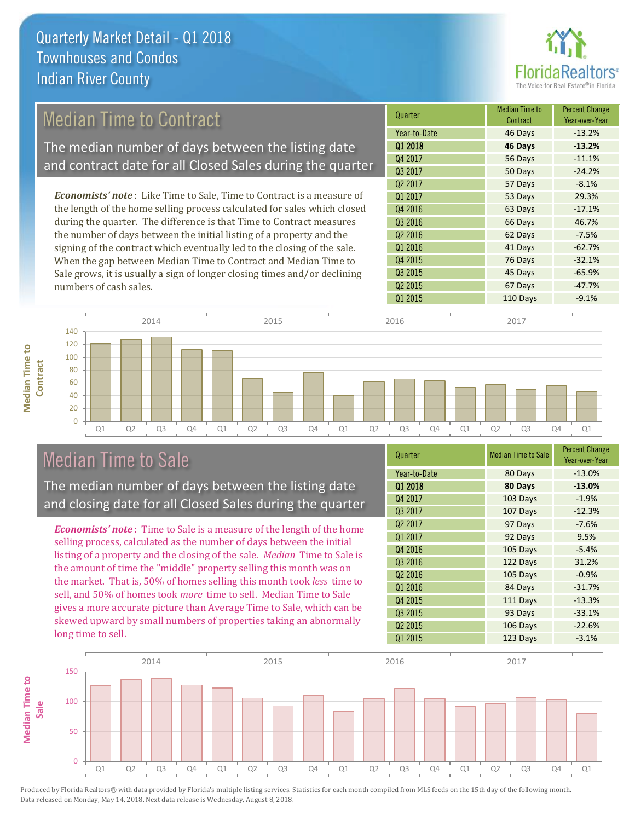

## Median Time to Contract

The median number of days between the listing date and contract date for all Closed Sales during the quarter

*Economists' note* : Like Time to Sale, Time to Contract is a measure of the length of the home selling process calculated for sales which closed during the quarter. The difference is that Time to Contract measures the number of days between the initial listing of a property and the signing of the contract which eventually led to the closing of the sale. When the gap between Median Time to Contract and Median Time to Sale grows, it is usually a sign of longer closing times and/or declining numbers of cash sales.

| Quarter             | Median Time to<br>Contract | <b>Percent Change</b><br>Year-over-Year |
|---------------------|----------------------------|-----------------------------------------|
| Year-to-Date        | 46 Days                    | $-13.2%$                                |
| 01 2018             | 46 Days                    | $-13.2%$                                |
| Q4 2017             | 56 Days                    | $-11.1%$                                |
| Q3 2017             | 50 Days                    | $-24.2%$                                |
| Q <sub>2</sub> 2017 | 57 Days                    | $-8.1%$                                 |
| Q1 2017             | 53 Days                    | 29.3%                                   |
| Q4 2016             | 63 Days                    | $-17.1%$                                |
| Q3 2016             | 66 Days                    | 46.7%                                   |
| Q <sub>2</sub> 2016 | 62 Days                    | $-7.5%$                                 |
| Q1 2016             | 41 Days                    | $-62.7%$                                |
| Q4 2015             | 76 Days                    | $-32.1%$                                |
| Q3 2015             | 45 Days                    | $-65.9%$                                |
| Q <sub>2</sub> 2015 | 67 Days                    | $-47.7%$                                |
| Q1 2015             | 110 Days                   | $-9.1%$                                 |



## Median Time to Sale

**Median Time to** 

**Median Time to** 

The median number of days between the listing date and closing date for all Closed Sales during the quarter

*Economists' note* : Time to Sale is a measure of the length of the home selling process, calculated as the number of days between the initial listing of a property and the closing of the sale. *Median* Time to Sale is the amount of time the "middle" property selling this month was on the market. That is, 50% of homes selling this month took *less* time to sell, and 50% of homes took *more* time to sell. Median Time to Sale gives a more accurate picture than Average Time to Sale, which can be skewed upward by small numbers of properties taking an abnormally long time to sell.

| Quarter             | <b>Median Time to Sale</b> | <b>Percent Change</b><br>Year-over-Year |
|---------------------|----------------------------|-----------------------------------------|
| Year-to-Date        | 80 Days                    | $-13.0%$                                |
| Q1 2018             | 80 Days                    | $-13.0%$                                |
| Q4 2017             | 103 Days                   | $-1.9%$                                 |
| Q3 2017             | 107 Days                   | $-12.3%$                                |
| Q <sub>2</sub> 2017 | 97 Days                    | $-7.6%$                                 |
| Q1 2017             | 92 Days                    | 9.5%                                    |
| Q4 2016             | 105 Days                   | $-5.4%$                                 |
| Q3 2016             | 122 Days                   | 31.2%                                   |
| Q <sub>2</sub> 2016 | 105 Days                   | $-0.9%$                                 |
| Q1 2016             | 84 Days                    | $-31.7%$                                |
| Q4 2015             | 111 Days                   | $-13.3%$                                |
| Q3 2015             | 93 Days                    | $-33.1%$                                |
| Q <sub>2</sub> 2015 | 106 Days                   | $-22.6%$                                |
| Q1 2015             | 123 Days                   | $-3.1%$                                 |

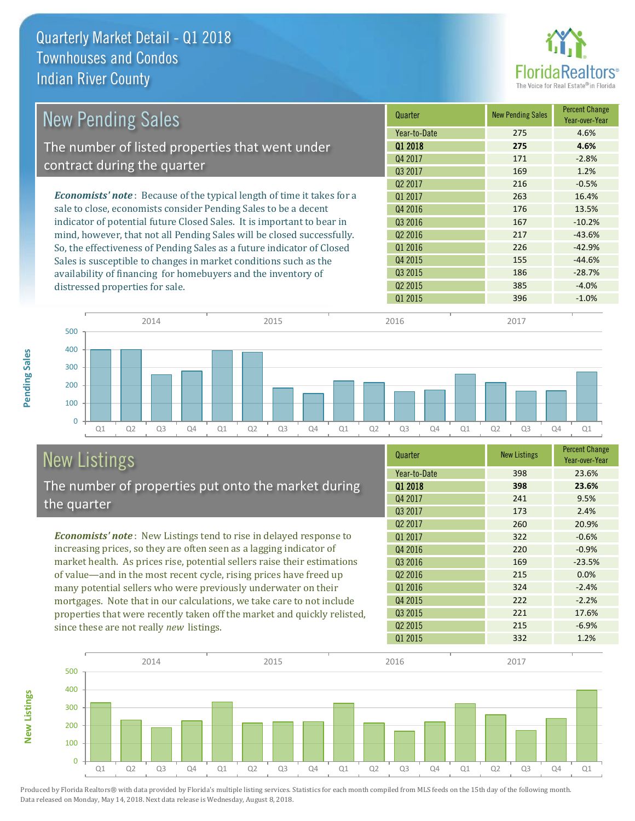

| <b>New Pending Sales</b>                                                       | Quarter             | <b>New Pending Sales</b> | <b>Percent Change</b><br>Year-over-Year |
|--------------------------------------------------------------------------------|---------------------|--------------------------|-----------------------------------------|
|                                                                                | Year-to-Date        | 275                      | 4.6%                                    |
| The number of listed properties that went under                                | 01 2018             | 275                      | 4.6%                                    |
| contract during the quarter                                                    | Q4 2017             | 171                      | $-2.8%$                                 |
|                                                                                | 03 2017             | 169                      | 1.2%                                    |
|                                                                                | Q <sub>2</sub> 2017 | 216                      | $-0.5%$                                 |
| <b>Economists' note</b> : Because of the typical length of time it takes for a | Q1 2017             | 263                      | 16.4%                                   |
| sale to close, economists consider Pending Sales to be a decent                | Q4 2016             | 176                      | 13.5%                                   |
| indicator of potential future Closed Sales. It is important to bear in         | Q3 2016             | 167                      | $-10.2%$                                |
| mind, however, that not all Pending Sales will be closed successfully.         | Q <sub>2</sub> 2016 | 217                      | $-43.6%$                                |
| So, the effectiveness of Pending Sales as a future indicator of Closed         | 01 2016             | 226                      | $-42.9%$                                |
| Sales is susceptible to changes in market conditions such as the               | Q4 2015             | 155                      | $-44.6%$                                |
| availability of financing for homebuyers and the inventory of                  | Q3 2015             | 186                      | $-28.7%$                                |
| distressed properties for sale.                                                | Q <sub>2</sub> 2015 | 385                      | $-4.0%$                                 |
|                                                                                | 01 2015             | 396                      | $-1.0%$                                 |



# New Listings

**New Listings**

**Pending Sales**

**Pending Sales** 

The number of properties put onto the market during the quarter

*Economists' note* : New Listings tend to rise in delayed response to increasing prices, so they are often seen as a lagging indicator of market health. As prices rise, potential sellers raise their estimations of value—and in the most recent cycle, rising prices have freed up many potential sellers who were previously underwater on their mortgages. Note that in our calculations, we take care to not include properties that were recently taken off the market and quickly relisted, since these are not really *new* listings.

| Quarter             | <b>New Listings</b> | <b>Percent Change</b><br>Year-over-Year |
|---------------------|---------------------|-----------------------------------------|
| Year-to-Date        | 398                 | 23.6%                                   |
| 01 2018             | 398                 | 23.6%                                   |
| Q4 2017             | 241                 | 9.5%                                    |
| Q3 2017             | 173                 | 2.4%                                    |
| Q <sub>2</sub> 2017 | 260                 | 20.9%                                   |
| Q1 2017             | 322                 | $-0.6%$                                 |
| Q4 2016             | 220                 | $-0.9%$                                 |
| Q3 2016             | 169                 | $-23.5%$                                |
| Q <sub>2</sub> 2016 | 215                 | 0.0%                                    |
| Q1 2016             | 324                 | $-2.4%$                                 |
| Q4 2015             | 222                 | $-2.2%$                                 |
| Q3 2015             | 221                 | 17.6%                                   |
| Q <sub>2</sub> 2015 | 215                 | $-6.9%$                                 |
| Q1 2015             | 332                 | 1.2%                                    |

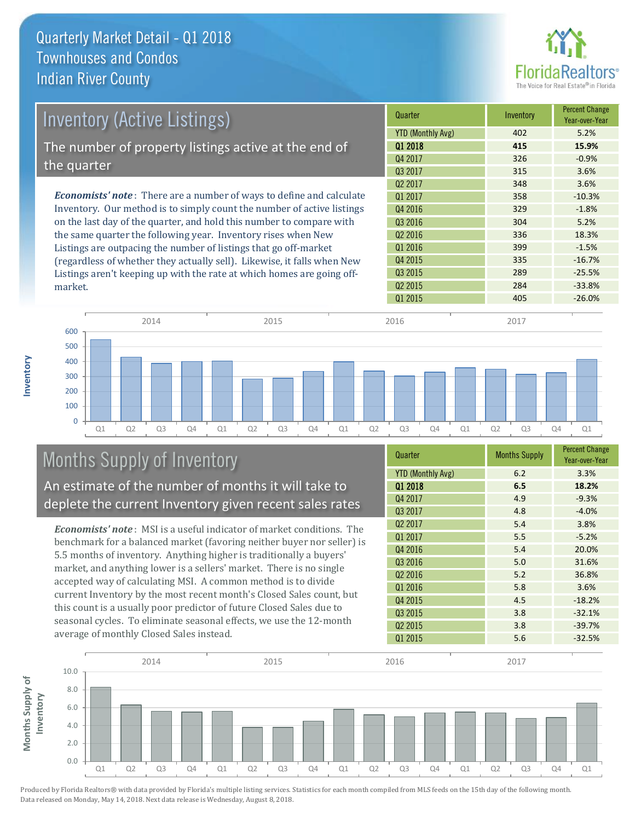

| <b>Inventory (Active Listings)</b>                                           | Quarter                  | Inventory | <b>Percent Change</b><br>Year-over-Year |
|------------------------------------------------------------------------------|--------------------------|-----------|-----------------------------------------|
|                                                                              | <b>YTD (Monthly Avg)</b> | 402       | 5.2%                                    |
| The number of property listings active at the end of                         | 01 2018                  | 415       | 15.9%                                   |
| the quarter                                                                  | Q4 2017                  | 326       | $-0.9%$                                 |
|                                                                              | Q3 2017                  | 315       | 3.6%                                    |
|                                                                              | Q <sub>2</sub> 2017      | 348       | 3.6%                                    |
| <b>Economists' note</b> : There are a number of ways to define and calculate | 01 2017                  | 358       | $-10.3%$                                |
| Inventory. Our method is to simply count the number of active listings       | Q4 2016                  | 329       | $-1.8%$                                 |
| on the last day of the quarter, and hold this number to compare with         | Q3 2016                  | 304       | 5.2%                                    |
| the same quarter the following year. Inventory rises when New                | Q <sub>2</sub> 2016      | 336       | 18.3%                                   |
| Listings are outpacing the number of listings that go off-market             | Q1 2016                  | 399       | $-1.5%$                                 |

(regardless of whether they actually sell). Likewise, it falls when New Listings aren't keeping up with the rate at which homes are going offmarket.

335 -16.7% Q4 2015  $Q1\ 2015$   $405$   $-26.0\%$ Q3 2015 289 289 25.5%  $Q2\,2015$  284 -33.8%



## Months Supply of Inventory

An estimate of the number of months it will take to deplete the current Inventory given recent sales rates

*Economists' note* : MSI is a useful indicator of market conditions. The benchmark for a balanced market (favoring neither buyer nor seller) is 5.5 months of inventory. Anything higher is traditionally a buyers' market, and anything lower is a sellers' market. There is no single accepted way of calculating MSI. A common method is to divide current Inventory by the most recent month's Closed Sales count, but this count is a usually poor predictor of future Closed Sales due to seasonal cycles. To eliminate seasonal effects, we use the 12-month average of monthly Closed Sales instead.

| Quarter                  | <b>Months Supply</b> | <b>Percent Change</b><br>Year-over-Year |
|--------------------------|----------------------|-----------------------------------------|
| <b>YTD (Monthly Avg)</b> | 6.2                  | 3.3%                                    |
| 01 2018                  | 6.5                  | 18.2%                                   |
| Q4 2017                  | 4.9                  | $-9.3%$                                 |
| Q3 2017                  | 4.8                  | $-4.0%$                                 |
| Q2 2017                  | 5.4                  | 3.8%                                    |
| Q1 2017                  | 5.5                  | $-5.2%$                                 |
| Q4 2016                  | 5.4                  | 20.0%                                   |
| Q3 2016                  | 5.0                  | 31.6%                                   |
| Q <sub>2</sub> 2016      | 5.2                  | 36.8%                                   |
| Q1 2016                  | 5.8                  | 3.6%                                    |
| Q4 2015                  | 4.5                  | $-18.2%$                                |
| Q3 2015                  | 3.8                  | $-32.1%$                                |
| Q <sub>2</sub> 2015      | 3.8                  | $-39.7%$                                |
| Q1 2015                  | 5.6                  | $-32.5%$                                |

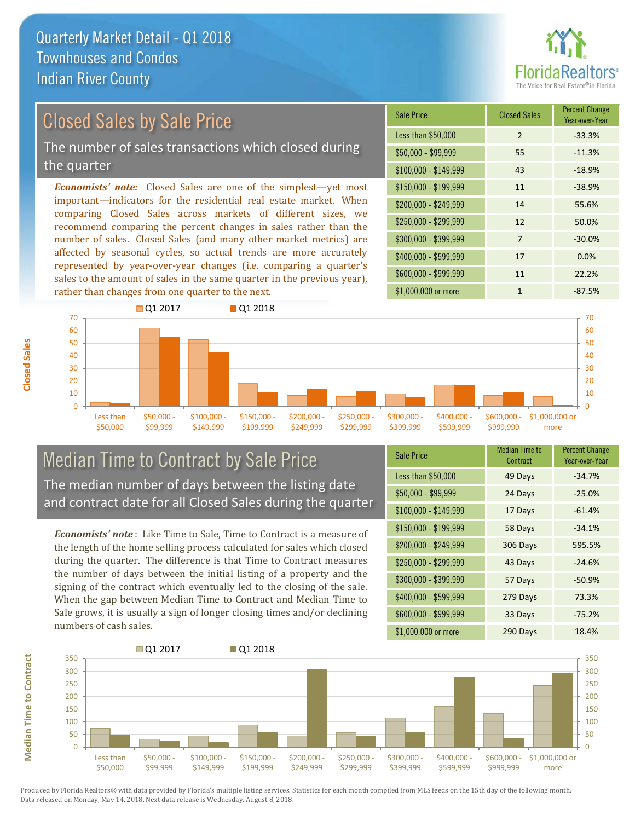

## Closed Sales by Sale Price

The number of sales transactions which closed during the quarter

*Economists' note:* Closed Sales are one of the simplest—yet most important—indicators for the residential real estate market. When comparing Closed Sales across markets of different sizes, we recommend comparing the percent changes in sales rather than the number of sales. Closed Sales (and many other market metrics) are affected by seasonal cycles, so actual trends are more accurately represented by year-over-year changes (i.e. comparing a quarter's sales to the amount of sales in the same quarter in the previous year), rather than changes from one quarter to the next.

| <b>Sale Price</b>     | <b>Closed Sales</b> | <b>Percent Change</b><br>Year-over-Year |
|-----------------------|---------------------|-----------------------------------------|
| Less than \$50,000    | $\mathcal{P}$       | $-33.3%$                                |
| \$50,000 - \$99,999   | 55                  | $-11.3%$                                |
| $$100,000 - $149,999$ | 43                  | $-18.9%$                                |
| $$150,000 - $199,999$ | 11                  | $-38.9%$                                |
| \$200,000 - \$249,999 | 14                  | 55.6%                                   |
| \$250,000 - \$299,999 | 12                  | 50.0%                                   |
| \$300,000 - \$399,999 | 7                   | $-30.0%$                                |
| \$400,000 - \$599,999 | 17                  | 0.0%                                    |
| \$600,000 - \$999,999 | 11                  | 22.2%                                   |
| \$1,000,000 or more   | 1                   | $-87.5%$                                |



#### Median Time to Contract by Sale Price The median number of days between the listing date and contract date for all Closed Sales during the quarter

*Economists' note* : Like Time to Sale, Time to Contract is a measure of the length of the home selling process calculated for sales which closed during the quarter. The difference is that Time to Contract measures the number of days between the initial listing of a property and the signing of the contract which eventually led to the closing of the sale. When the gap between Median Time to Contract and Median Time to Sale grows, it is usually a sign of longer closing times and/or declining numbers of cash sales.

| Sale Price            | <b>Median Time to</b><br>Contract | <b>Percent Change</b><br>Year-over-Year |
|-----------------------|-----------------------------------|-----------------------------------------|
| Less than \$50,000    | 49 Days                           | $-34.7%$                                |
| \$50,000 - \$99,999   | 24 Days                           | $-25.0%$                                |
| $$100,000 - $149,999$ | 17 Days                           | $-61.4%$                                |
| \$150,000 - \$199,999 | 58 Days                           | $-34.1%$                                |
| \$200,000 - \$249,999 | 306 Days                          | 595.5%                                  |
| \$250,000 - \$299,999 | 43 Days                           | $-24.6%$                                |
| \$300,000 - \$399,999 | 57 Days                           | $-50.9%$                                |
| \$400,000 - \$599,999 | 279 Days                          | 73.3%                                   |
| \$600,000 - \$999,999 | 33 Days                           | $-75.2%$                                |
| \$1,000,000 or more   | 290 Days                          | 18.4%                                   |



Produced by Florida Realtors® with data provided by Florida's multiple listing services. Statistics for each month compiled from MLS feeds on the 15th day of the following month. Data released on Monday, May 14, 2018. Next data release is Wednesday, August 8, 2018.

**Median Time to Contract**

**Median Time to Contract**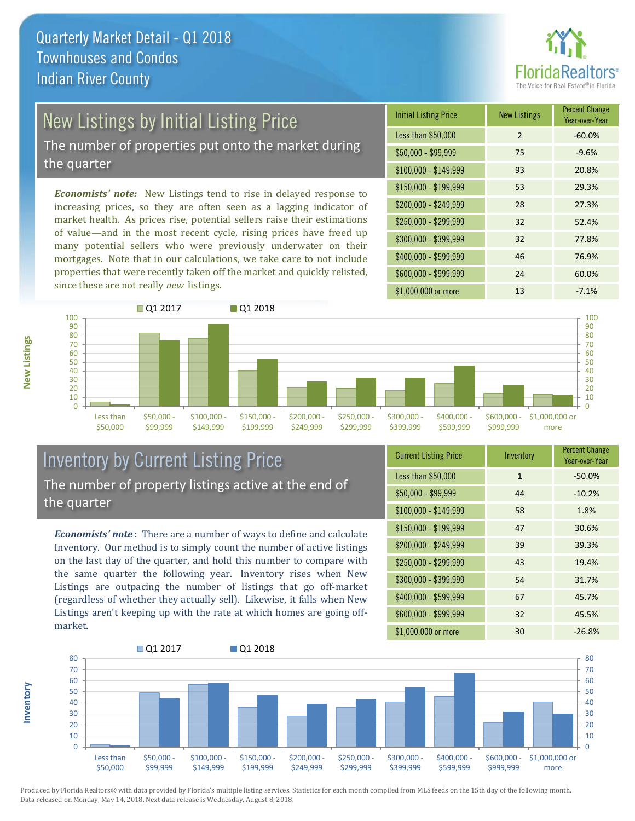

# New Listings by Initial Listing Price

The number of properties put onto the market during the quarter

*Economists' note:* New Listings tend to rise in delayed response to increasing prices, so they are often seen as a lagging indicator of market health. As prices rise, potential sellers raise their estimations of value—and in the most recent cycle, rising prices have freed up many potential sellers who were previously underwater on their mortgages. Note that in our calculations, we take care to not include properties that were recently taken off the market and quickly relisted, since these are not really *new* listings.

| <b>Initial Listing Price</b> | <b>New Listings</b> | <b>Percent Change</b><br>Year-over-Year |
|------------------------------|---------------------|-----------------------------------------|
| Less than \$50,000           | $\overline{2}$      | $-60.0%$                                |
| $$50,000 - $99,999$          | 75                  | $-9.6%$                                 |
| $$100,000 - $149,999$        | 93                  | 20.8%                                   |
| $$150,000 - $199,999$        | 53                  | 29.3%                                   |
| \$200,000 - \$249,999        | 28                  | 27.3%                                   |
| \$250,000 - \$299,999        | 32                  | 52.4%                                   |
| \$300,000 - \$399,999        | 32                  | 77.8%                                   |
| \$400,000 - \$599,999        | 46                  | 76.9%                                   |
| \$600,000 - \$999,999        | 24                  | 60.0%                                   |
| \$1,000,000 or more          | 13                  | $-7.1%$                                 |



## Inventory by Current Listing Price The number of property listings active at the end of the quarter

*Economists' note* : There are a number of ways to define and calculate Inventory. Our method is to simply count the number of active listings on the last day of the quarter, and hold this number to compare with the same quarter the following year. Inventory rises when New Listings are outpacing the number of listings that go off-market (regardless of whether they actually sell). Likewise, it falls when New Listings aren't keeping up with the rate at which homes are going offmarket.

| <b>Current Listing Price</b> | Inventory    | <b>Percent Change</b><br>Year-over-Year |
|------------------------------|--------------|-----------------------------------------|
| Less than \$50,000           | $\mathbf{1}$ | $-50.0%$                                |
| $$50,000 - $99,999$          | 44           | $-10.2%$                                |
| $$100,000 - $149,999$        | 58           | 1.8%                                    |
| $$150,000 - $199,999$        | 47           | 30.6%                                   |
| \$200,000 - \$249,999        | 39           | 39.3%                                   |
| \$250,000 - \$299,999        | 43           | 19.4%                                   |
| \$300,000 - \$399,999        | 54           | 31.7%                                   |
| $$400,000 - $599,999$        | 67           | 45.7%                                   |
| \$600,000 - \$999,999        | 32           | 45.5%                                   |
| \$1,000,000 or more          | 30           | $-26.8%$                                |



Produced by Florida Realtors® with data provided by Florida's multiple listing services. Statistics for each month compiled from MLS feeds on the 15th day of the following month. Data released on Monday, May 14, 2018. Next data release is Wednesday, August 8, 2018.

**Inventory**